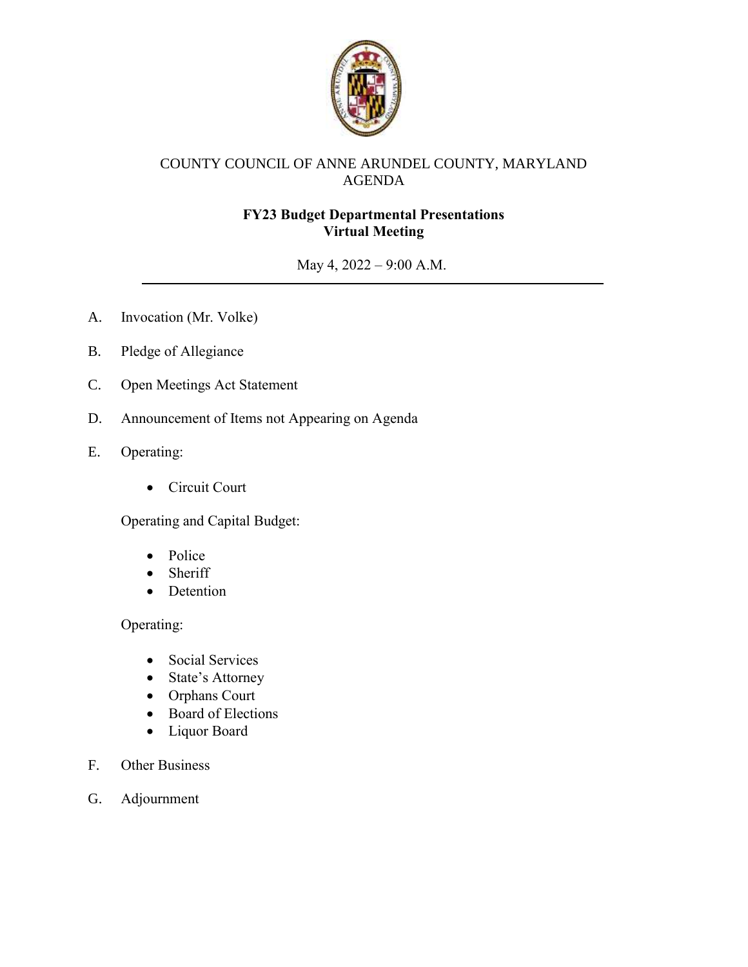

# COUNTY COUNCIL OF ANNE ARUNDEL COUNTY, MARYLAND AGENDA

# **FY23 Budget Departmental Presentations Virtual Meeting**

May 4, 2022 – 9:00 A.M.

- A. Invocation (Mr. Volke)
- B. Pledge of Allegiance
- C. Open Meetings Act Statement
- D. Announcement of Items not Appearing on Agenda
- E. Operating:
	- Circuit Court

Operating and Capital Budget:

- Police
- Sheriff
- Detention

### Operating:

- Social Services
- State's Attorney
- Orphans Court
- Board of Elections
- Liquor Board
- F. Other Business
- G. Adjournment